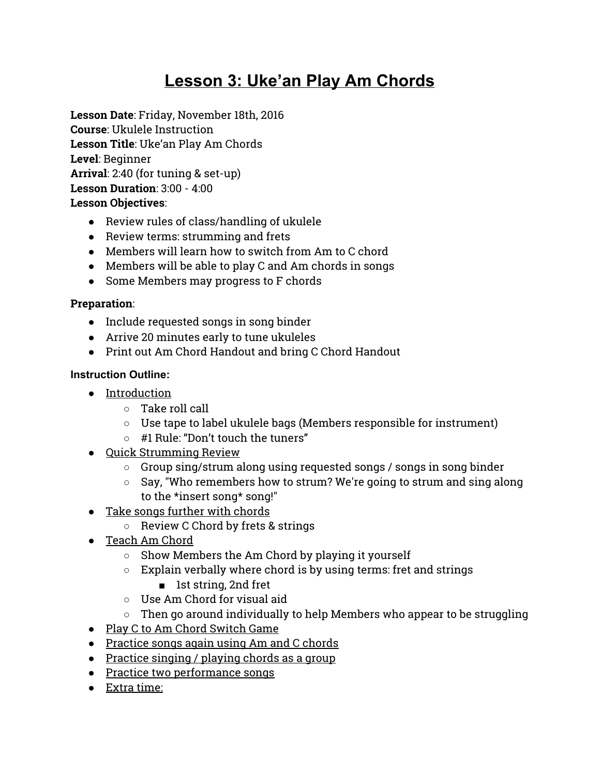# **Lesson 3: Uke'an Play Am Chords**

**Lesson Date**: Friday, November 18th, 2016 **Course**: Ukulele Instruction **Lesson Title**: Uke'an Play Am Chords **Level**: Beginner **Arrival**: 2:40 (for tuning & set-up) **Lesson Duration**: 3:00 - 4:00 **Lesson Objectives**:

- Review rules of class/handling of ukulele
- Review terms: strumming and frets
- Members will learn how to switch from Am to C chord
- Members will be able to play C and Am chords in songs
- Some Members may progress to F chords

### **Preparation**:

- Include requested songs in song binder
- Arrive 20 minutes early to tune ukuleles
- Print out Am Chord Handout and bring C Chord Handout

## **Instruction Outline:**

- Introduction
	- Take roll call
	- Use tape to label ukulele bags (Members responsible for instrument)
	- #1 Rule: "Don't touch the tuners"
- Quick Strumming Review
	- Group sing/strum along using requested songs / songs in song binder
	- Say, "Who remembers how to strum? We're going to strum and sing along to the \*insert song\* song!"
- Take songs further with chords
	- Review C Chord by frets & strings
- Teach Am Chord
	- Show Members the Am Chord by playing it yourself
	- $\circ$  Explain verbally where chord is by using terms: fret and strings
		- 1st string, 2nd fret
	- Use Am Chord for visual aid
	- $\circ$  Then go around individually to help Members who appear to be struggling
- Play C to Am Chord Switch Game
- Practice songs again using Am and C chords
- Practice singing / playing chords as a group
- Practice two performance songs
- Extra time: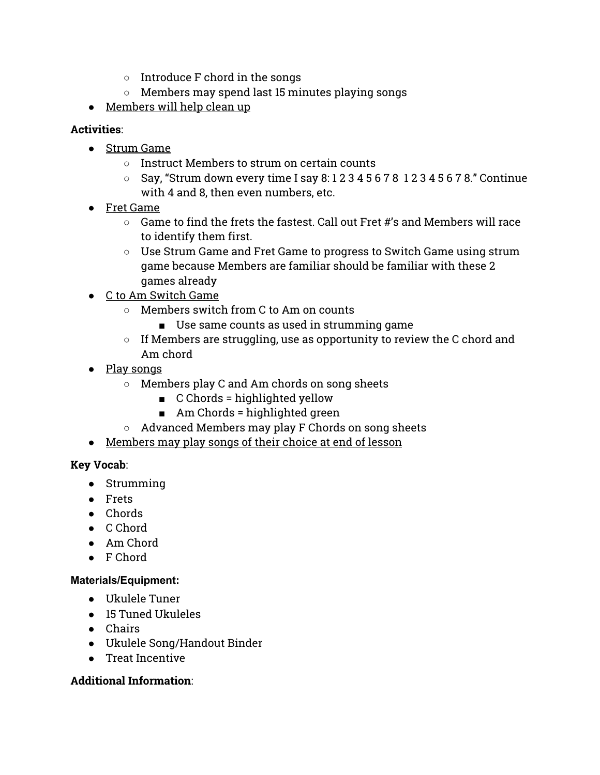- Introduce F chord in the songs
- Members may spend last 15 minutes playing songs
- Members will help clean up

#### **Activities**:

- Strum Game
	- Instruct Members to strum on certain counts
	- $\circ$  Say, "Strum down every time I say 8:1234567812345678." Continue with 4 and 8, then even numbers, etc.
- Fret Game
	- $\circ$  Game to find the frets the fastest. Call out Fret #'s and Members will race to identify them first.
	- Use Strum Game and Fret Game to progress to Switch Game using strum game because Members are familiar should be familiar with these 2 games already
- C to Am Switch Game
	- Members switch from C to Am on counts
		- Use same counts as used in strumming game
	- $\circ$  If Members are struggling, use as opportunity to review the C chord and Am chord
- Play songs
	- Members play C and Am chords on song sheets
		- C Chords = highlighted yellow
		- Am Chords = highlighted green
	- Advanced Members may play F Chords on song sheets
- Members may play songs of their choice at end of lesson

#### **Key Vocab**:

- Strumming
- Frets
- Chords
- C Chord
- Am Chord
- F Chord

#### **Materials/Equipment:**

- Ukulele Tuner
- 15 Tuned Ukuleles
- Chairs
- Ukulele Song/Handout Binder
- Treat Incentive

#### **Additional Information**: